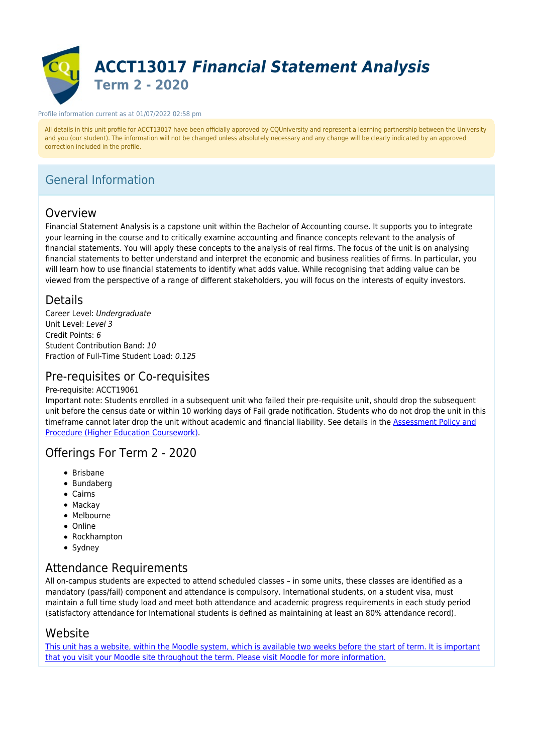

#### Profile information current as at 01/07/2022 02:58 pm

All details in this unit profile for ACCT13017 have been officially approved by CQUniversity and represent a learning partnership between the University and you (our student). The information will not be changed unless absolutely necessary and any change will be clearly indicated by an approved correction included in the profile.

## General Information

## Overview

Financial Statement Analysis is a capstone unit within the Bachelor of Accounting course. It supports you to integrate your learning in the course and to critically examine accounting and finance concepts relevant to the analysis of financial statements. You will apply these concepts to the analysis of real firms. The focus of the unit is on analysing financial statements to better understand and interpret the economic and business realities of firms. In particular, you will learn how to use financial statements to identify what adds value. While recognising that adding value can be viewed from the perspective of a range of different stakeholders, you will focus on the interests of equity investors.

### Details

Career Level: Undergraduate Unit Level: Level 3 Credit Points: 6 Student Contribution Band: 10 Fraction of Full-Time Student Load: 0.125

### Pre-requisites or Co-requisites

#### Pre-requisite: ACCT19061

Important note: Students enrolled in a subsequent unit who failed their pre-requisite unit, should drop the subsequent unit before the census date or within 10 working days of Fail grade notification. Students who do not drop the unit in this timeframe cannot later drop the unit without academic and financial liability. See details in the [Assessment Policy and](https://www.cqu.edu.au/policy) [Procedure \(Higher Education Coursework\)](https://www.cqu.edu.au/policy).

### Offerings For Term 2 - 2020

- Brisbane
- Bundaberg
- Cairns
- Mackay
- Melbourne
- Online
- Rockhampton
- Sydney

### Attendance Requirements

All on-campus students are expected to attend scheduled classes – in some units, these classes are identified as a mandatory (pass/fail) component and attendance is compulsory. International students, on a student visa, must maintain a full time study load and meet both attendance and academic progress requirements in each study period (satisfactory attendance for International students is defined as maintaining at least an 80% attendance record).

### Website

[This unit has a website, within the Moodle system, which is available two weeks before the start of term. It is important](https://moodle.cqu.edu.au) [that you visit your Moodle site throughout the term. Please visit Moodle for more information.](https://moodle.cqu.edu.au)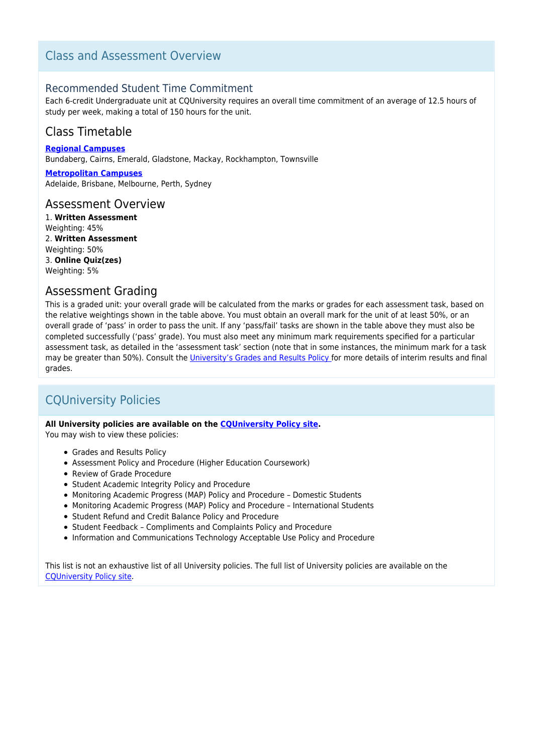## Class and Assessment Overview

### Recommended Student Time Commitment

Each 6-credit Undergraduate unit at CQUniversity requires an overall time commitment of an average of 12.5 hours of study per week, making a total of 150 hours for the unit.

## Class Timetable

**[Regional Campuses](https://handbook.cqu.edu.au/facet/timetables)** Bundaberg, Cairns, Emerald, Gladstone, Mackay, Rockhampton, Townsville

**[Metropolitan Campuses](https://handbook.cqu.edu.au/facet/timetables)** Adelaide, Brisbane, Melbourne, Perth, Sydney

#### Assessment Overview

1. **Written Assessment** Weighting: 45% 2. **Written Assessment** Weighting: 50% 3. **Online Quiz(zes)** Weighting: 5%

## Assessment Grading

This is a graded unit: your overall grade will be calculated from the marks or grades for each assessment task, based on the relative weightings shown in the table above. You must obtain an overall mark for the unit of at least 50%, or an overall grade of 'pass' in order to pass the unit. If any 'pass/fail' tasks are shown in the table above they must also be completed successfully ('pass' grade). You must also meet any minimum mark requirements specified for a particular assessment task, as detailed in the 'assessment task' section (note that in some instances, the minimum mark for a task may be greater than 50%). Consult the [University's Grades and Results Policy](https://www.cqu.edu.au/policy) for more details of interim results and final grades.

## CQUniversity Policies

#### **All University policies are available on the [CQUniversity Policy site.](https://policy.cqu.edu.au/)**

You may wish to view these policies:

- Grades and Results Policy
- Assessment Policy and Procedure (Higher Education Coursework)
- Review of Grade Procedure
- Student Academic Integrity Policy and Procedure
- Monitoring Academic Progress (MAP) Policy and Procedure Domestic Students
- Monitoring Academic Progress (MAP) Policy and Procedure International Students
- Student Refund and Credit Balance Policy and Procedure
- Student Feedback Compliments and Complaints Policy and Procedure
- Information and Communications Technology Acceptable Use Policy and Procedure

This list is not an exhaustive list of all University policies. The full list of University policies are available on the [CQUniversity Policy site.](https://policy.cqu.edu.au/)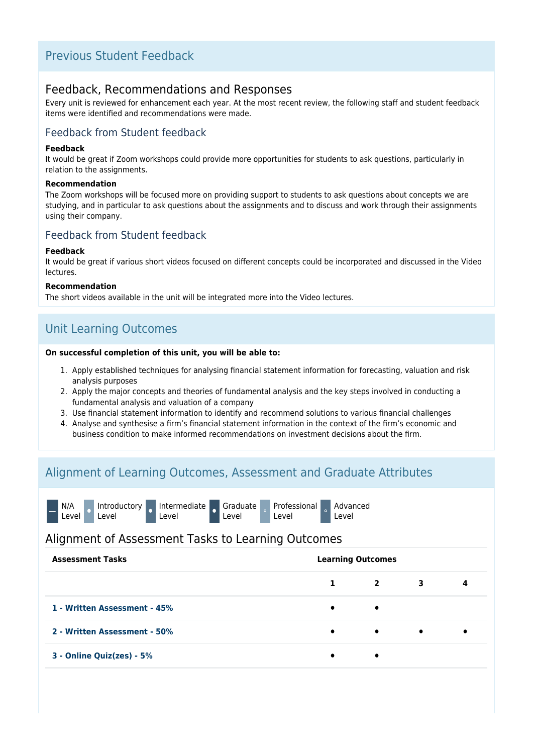## Previous Student Feedback

### Feedback, Recommendations and Responses

Every unit is reviewed for enhancement each year. At the most recent review, the following staff and student feedback items were identified and recommendations were made.

### Feedback from Student feedback

#### **Feedback**

It would be great if Zoom workshops could provide more opportunities for students to ask questions, particularly in relation to the assignments.

#### **Recommendation**

The Zoom workshops will be focused more on providing support to students to ask questions about concepts we are studying, and in particular to ask questions about the assignments and to discuss and work through their assignments using their company.

### Feedback from Student feedback

#### **Feedback**

It would be great if various short videos focused on different concepts could be incorporated and discussed in the Video lectures.

#### **Recommendation**

The short videos available in the unit will be integrated more into the Video lectures.

## Unit Learning Outcomes

#### **On successful completion of this unit, you will be able to:**

- 1. Apply established techniques for analysing financial statement information for forecasting, valuation and risk analysis purposes
- 2. Apply the major concepts and theories of fundamental analysis and the key steps involved in conducting a fundamental analysis and valuation of a company
- 3. Use financial statement information to identify and recommend solutions to various financial challenges
- 4. Analyse and synthesise a firm's financial statement information in the context of the firm's economic and business condition to make informed recommendations on investment decisions about the firm.

## Alignment of Learning Outcomes, Assessment and Graduate Attributes

|                                                    |  |  |  |  | N/A el Introductory Intermediate Graduate Professional Advanced<br>Level Level Level Level Level Level Level Level |  |  |  |  |
|----------------------------------------------------|--|--|--|--|--------------------------------------------------------------------------------------------------------------------|--|--|--|--|
| Alignment of Assessment Tasks to Learning Outcomes |  |  |  |  |                                                                                                                    |  |  |  |  |
|                                                    |  |  |  |  |                                                                                                                    |  |  |  |  |

| <b>Learning Outcomes</b><br><b>Assessment Tasks</b> |           |                |           |   |
|-----------------------------------------------------|-----------|----------------|-----------|---|
|                                                     | 1         | $\overline{2}$ | 3         | 4 |
| 1 - Written Assessment - 45%                        | $\bullet$ | $\bullet$      |           |   |
| 2 - Written Assessment - 50%                        | $\bullet$ | $\bullet$      | $\bullet$ |   |
| 3 - Online Quiz(zes) - 5%                           | $\bullet$ | $\bullet$      |           |   |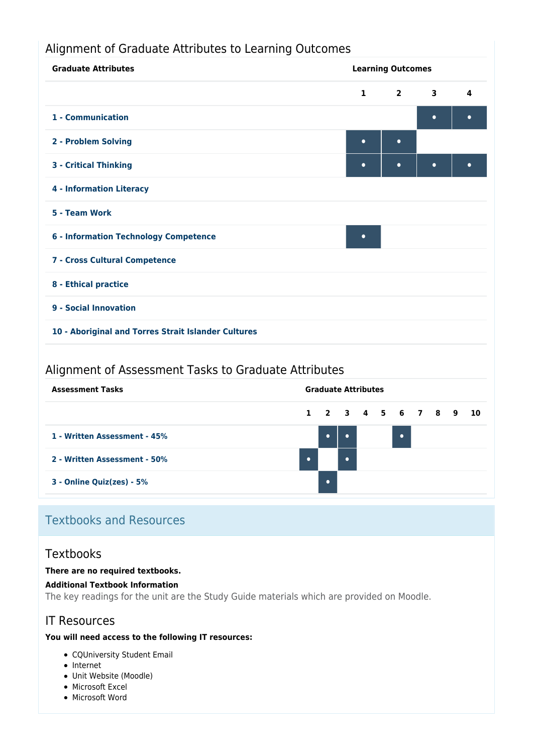## Alignment of Graduate Attributes to Learning Outcomes



### Alignment of Assessment Tasks to Graduate Attributes



## Textbooks and Resources

### **Textbooks**

#### **There are no required textbooks.**

#### **Additional Textbook Information**

The key readings for the unit are the Study Guide materials which are provided on Moodle.

## IT Resources

#### **You will need access to the following IT resources:**

- CQUniversity Student Email
- Internet
- Unit Website (Moodle)
- Microsoft Excel
- Microsoft Word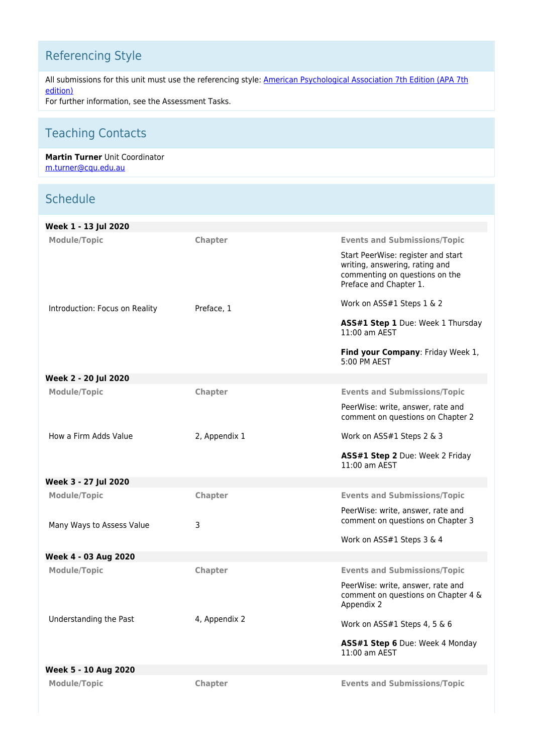# Referencing Style

All submissions for this unit must use the referencing style: [American Psychological Association 7th Edition \(APA 7th](https://delivery-cqucontenthub.stylelabs.cloud/api/public/content/apa-referencing-style.pdf?v=51e1aea7) [edition\)](https://delivery-cqucontenthub.stylelabs.cloud/api/public/content/apa-referencing-style.pdf?v=51e1aea7)

For further information, see the Assessment Tasks.

# Teaching Contacts

#### **Martin Turner** Unit Coordinator [m.turner@cqu.edu.au](mailto:m.turner@cqu.edu.au)

## **Schedule**

| Week 1 - 13 Jul 2020                             |               |                                                                                                                                                                         |
|--------------------------------------------------|---------------|-------------------------------------------------------------------------------------------------------------------------------------------------------------------------|
| <b>Module/Topic</b>                              | Chapter       | <b>Events and Submissions/Topic</b><br>Start PeerWise: register and start<br>writing, answering, rating and<br>commenting on questions on the<br>Preface and Chapter 1. |
| Introduction: Focus on Reality                   | Preface, 1    | Work on ASS#1 Steps 1 & 2<br>ASS#1 Step 1 Due: Week 1 Thursday<br>11:00 am AEST<br>Find your Company: Friday Week 1,<br>5:00 PM AEST                                    |
| Week 2 - 20 Jul 2020                             |               |                                                                                                                                                                         |
| <b>Module/Topic</b>                              | Chapter       | <b>Events and Submissions/Topic</b><br>PeerWise: write, answer, rate and<br>comment on questions on Chapter 2                                                           |
| How a Firm Adds Value                            | 2, Appendix 1 | Work on ASS#1 Steps 2 & 3<br>ASS#1 Step 2 Due: Week 2 Friday<br>11:00 am AEST                                                                                           |
| Week 3 - 27 Jul 2020                             |               |                                                                                                                                                                         |
| <b>Module/Topic</b><br>Many Ways to Assess Value | Chapter<br>3  | <b>Events and Submissions/Topic</b><br>PeerWise: write, answer, rate and<br>comment on questions on Chapter 3<br>Work on ASS#1 Steps 3 & 4                              |
| Week 4 - 03 Aug 2020                             |               |                                                                                                                                                                         |
| <b>Module/Topic</b>                              | Chapter       | <b>Events and Submissions/Topic</b><br>PeerWise: write, answer, rate and<br>comment on questions on Chapter 4 &<br>Appendix 2                                           |
| Understanding the Past                           | 4, Appendix 2 | Work on ASS#1 Steps 4, 5 & 6<br>ASS#1 Step 6 Due: Week 4 Monday<br>11:00 am AEST                                                                                        |
| Week 5 - 10 Aug 2020                             |               |                                                                                                                                                                         |
| <b>Module/Topic</b>                              | Chapter       | <b>Events and Submissions/Topic</b>                                                                                                                                     |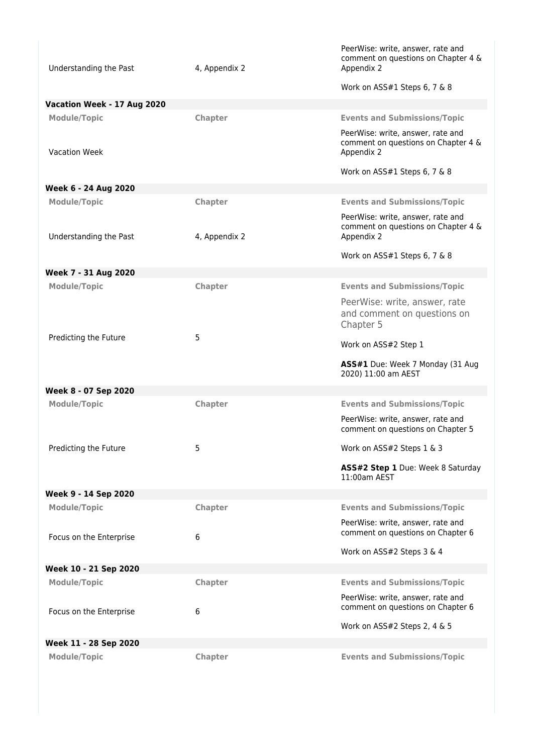| Understanding the Past      | 4, Appendix 2  | PeerWise: write, answer, rate and<br>comment on questions on Chapter 4 &<br>Appendix 2 |
|-----------------------------|----------------|----------------------------------------------------------------------------------------|
|                             |                | Work on ASS#1 Steps 6, 7 & 8                                                           |
| Vacation Week - 17 Aug 2020 |                |                                                                                        |
| <b>Module/Topic</b>         | <b>Chapter</b> | <b>Events and Submissions/Topic</b>                                                    |
| <b>Vacation Week</b>        |                | PeerWise: write, answer, rate and<br>comment on questions on Chapter 4 &<br>Appendix 2 |
|                             |                | Work on ASS#1 Steps 6, 7 & 8                                                           |
| Week 6 - 24 Aug 2020        |                |                                                                                        |
| <b>Module/Topic</b>         | Chapter        | <b>Events and Submissions/Topic</b>                                                    |
| Understanding the Past      | 4, Appendix 2  | PeerWise: write, answer, rate and<br>comment on questions on Chapter 4 &<br>Appendix 2 |
|                             |                | Work on ASS#1 Steps 6, 7 & 8                                                           |
| Week 7 - 31 Aug 2020        |                |                                                                                        |
| <b>Module/Topic</b>         | Chapter        | <b>Events and Submissions/Topic</b>                                                    |
|                             |                | PeerWise: write, answer, rate<br>and comment on questions on<br>Chapter 5              |
| Predicting the Future       | 5              | Work on ASS#2 Step 1                                                                   |
|                             |                | ASS#1 Due: Week 7 Monday (31 Aug<br>2020) 11:00 am AEST                                |
| Week 8 - 07 Sep 2020        |                |                                                                                        |
| <b>Module/Topic</b>         | Chapter        | <b>Events and Submissions/Topic</b>                                                    |
|                             |                | PeerWise: write, answer, rate and<br>comment on questions on Chapter 5                 |
| Predicting the Future       | 5              | Work on ASS#2 Steps 1 & 3                                                              |
|                             |                | ASS#2 Step 1 Due: Week 8 Saturday<br>$11:00$ am AFST                                   |
| Week 9 - 14 Sep 2020        |                |                                                                                        |
| <b>Module/Topic</b>         | Chapter        | <b>Events and Submissions/Topic</b>                                                    |
| Focus on the Enterprise     | 6              | PeerWise: write, answer, rate and<br>comment on questions on Chapter 6                 |
|                             |                | Work on ASS#2 Steps 3 & 4                                                              |
| Week 10 - 21 Sep 2020       |                |                                                                                        |
| <b>Module/Topic</b>         | Chapter        | <b>Events and Submissions/Topic</b>                                                    |
| Focus on the Enterprise     | 6              | PeerWise: write, answer, rate and<br>comment on questions on Chapter 6                 |
|                             |                | Work on ASS#2 Steps 2, 4 & 5                                                           |
| Week 11 - 28 Sep 2020       |                |                                                                                        |
| <b>Module/Topic</b>         | <b>Chapter</b> | <b>Events and Submissions/Topic</b>                                                    |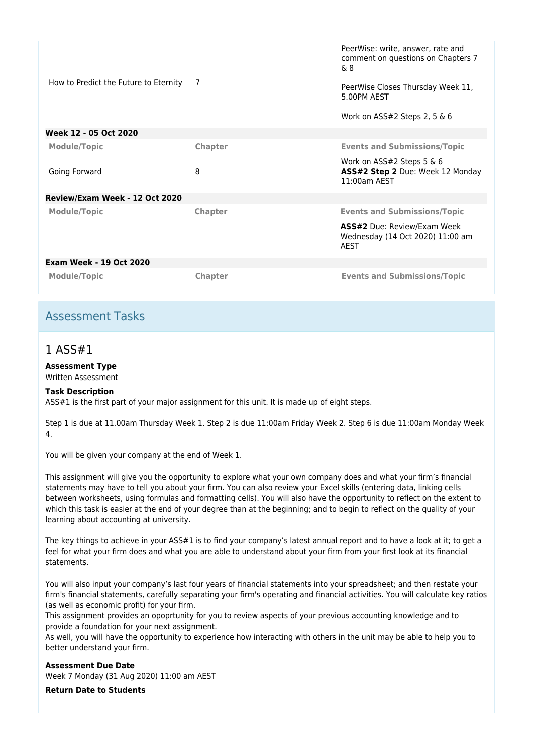| How to Predict the Future to Eternity | 7              | PeerWise: write, answer, rate and<br>comment on questions on Chapters 7<br>& 8<br>PeerWise Closes Thursday Week 11,<br>5.00PM AFST<br>Work on ASS#2 Steps 2, 5 $\&$ 6 |
|---------------------------------------|----------------|-----------------------------------------------------------------------------------------------------------------------------------------------------------------------|
| Week 12 - 05 Oct 2020                 |                |                                                                                                                                                                       |
| <b>Module/Topic</b>                   | Chapter        | <b>Events and Submissions/Topic</b>                                                                                                                                   |
| Going Forward                         | 8              | Work on ASS#2 Steps 5 & 6<br>ASS#2 Step 2 Due: Week 12 Monday<br>$11:00$ am AFST                                                                                      |
| Review/Exam Week - 12 Oct 2020        |                |                                                                                                                                                                       |
| <b>Module/Topic</b>                   | Chapter        | <b>Events and Submissions/Topic</b>                                                                                                                                   |
|                                       |                | <b>ASS#2</b> Due: Review/Exam Week<br>Wednesday (14 Oct 2020) 11:00 am<br>AEST                                                                                        |
| <b>Exam Week - 19 Oct 2020</b>        |                |                                                                                                                                                                       |
| <b>Module/Topic</b>                   | <b>Chapter</b> | <b>Events and Submissions/Topic</b>                                                                                                                                   |

## Assessment Tasks

## 1 ASS#1

#### **Assessment Type**

Written Assessment

#### **Task Description**

ASS#1 is the first part of your major assignment for this unit. It is made up of eight steps.

Step 1 is due at 11.00am Thursday Week 1. Step 2 is due 11:00am Friday Week 2. Step 6 is due 11:00am Monday Week 4.

You will be given your company at the end of Week 1.

This assignment will give you the opportunity to explore what your own company does and what your firm's financial statements may have to tell you about your firm. You can also review your Excel skills (entering data, linking cells between worksheets, using formulas and formatting cells). You will also have the opportunity to reflect on the extent to which this task is easier at the end of your degree than at the beginning; and to begin to reflect on the quality of your learning about accounting at university.

The key things to achieve in your ASS#1 is to find your company's latest annual report and to have a look at it; to get a feel for what your firm does and what you are able to understand about your firm from your first look at its financial statements.

You will also input your company's last four years of financial statements into your spreadsheet; and then restate your firm's financial statements, carefully separating your firm's operating and financial activities. You will calculate key ratios (as well as economic profit) for your firm.

This assignment provides an opoprtunity for you to review aspects of your previous accounting knowledge and to provide a foundation for your next assignment.

As well, you will have the opportunity to experience how interacting with others in the unit may be able to help you to better understand your firm.

**Assessment Due Date** Week 7 Monday (31 Aug 2020) 11:00 am AEST

**Return Date to Students**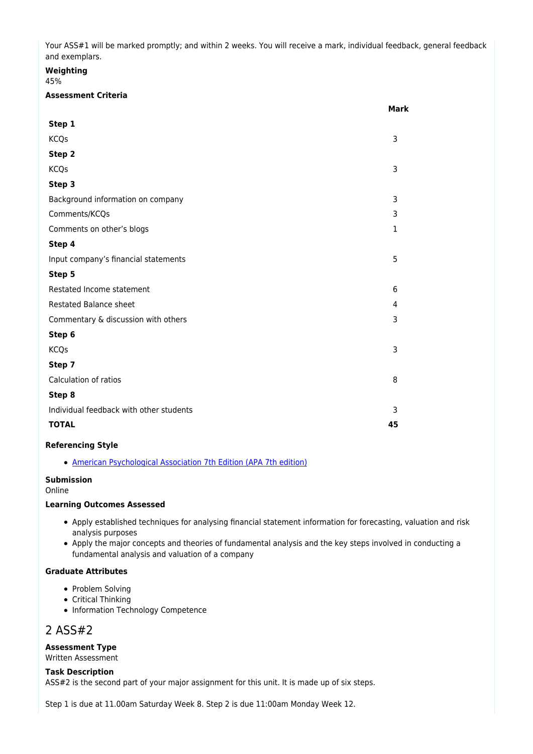Your ASS#1 will be marked promptly; and within 2 weeks. You will receive a mark, individual feedback, general feedback and exemplars.

#### **Weighting**

45%

#### **Assessment Criteria**

|                                         | Mark         |
|-----------------------------------------|--------------|
| Step 1                                  |              |
| <b>KCQs</b>                             | 3            |
| Step 2                                  |              |
| <b>KCQs</b>                             | 3            |
| Step 3                                  |              |
| Background information on company       | 3            |
| Comments/KCQs                           | 3            |
| Comments on other's blogs               | $\mathbf{1}$ |
| Step 4                                  |              |
| Input company's financial statements    | 5            |
| Step 5                                  |              |
| Restated Income statement               | 6            |
| Restated Balance sheet                  | 4            |
| Commentary & discussion with others     | 3            |
| Step 6                                  |              |
| <b>KCQs</b>                             | 3            |
| Step 7                                  |              |
| Calculation of ratios                   | 8            |
| Step 8                                  |              |
| Individual feedback with other students | 3            |
| <b>TOTAL</b>                            | 45           |
|                                         |              |

#### **Referencing Style**

[American Psychological Association 7th Edition \(APA 7th edition\)](https://delivery-cqucontenthub.stylelabs.cloud/api/public/content/apa-referencing-style.pdf?v=51e1aea7)

#### **Submission**

Online

#### **Learning Outcomes Assessed**

- Apply established techniques for analysing financial statement information for forecasting, valuation and risk analysis purposes
- Apply the major concepts and theories of fundamental analysis and the key steps involved in conducting a fundamental analysis and valuation of a company

#### **Graduate Attributes**

- Problem Solving
- Critical Thinking
- Information Technology Competence

## 2 ASS#2

#### **Assessment Type**

Written Assessment

#### **Task Description**

ASS#2 is the second part of your major assignment for this unit. It is made up of six steps.

Step 1 is due at 11.00am Saturday Week 8. Step 2 is due 11:00am Monday Week 12.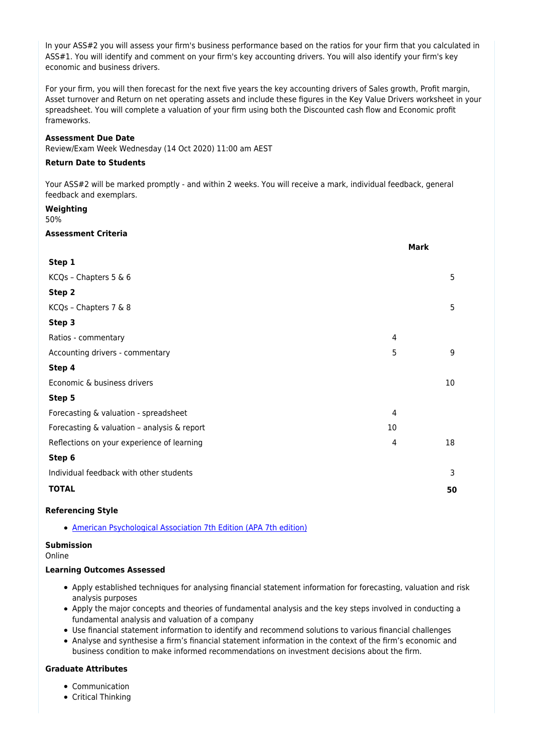In your ASS#2 you will assess your firm's business performance based on the ratios for your firm that you calculated in ASS#1. You will identify and comment on your firm's key accounting drivers. You will also identify your firm's key economic and business drivers.

For your firm, you will then forecast for the next five years the key accounting drivers of Sales growth, Profit margin, Asset turnover and Return on net operating assets and include these figures in the Key Value Drivers worksheet in your spreadsheet. You will complete a valuation of your firm using both the Discounted cash flow and Economic profit frameworks.

#### **Assessment Due Date**

Review/Exam Week Wednesday (14 Oct 2020) 11:00 am AEST

#### **Return Date to Students**

Your ASS#2 will be marked promptly - and within 2 weeks. You will receive a mark, individual feedback, general feedback and exemplars.

#### **Weighting**

50%

#### **Assessment Criteria**

|                                             |    | <b>Mark</b> |
|---------------------------------------------|----|-------------|
| Step 1                                      |    |             |
| KCQs - Chapters 5 & 6                       |    | 5           |
| Step 2                                      |    |             |
| KCQs - Chapters 7 & 8                       |    | 5           |
| Step 3                                      |    |             |
| Ratios - commentary                         | 4  |             |
| Accounting drivers - commentary             | 5  | 9           |
| Step 4                                      |    |             |
| Economic & business drivers                 |    | 10          |
| Step 5                                      |    |             |
| Forecasting & valuation - spreadsheet       | 4  |             |
| Forecasting & valuation - analysis & report | 10 |             |
| Reflections on your experience of learning  | 4  | 18          |
| Step 6                                      |    |             |
| Individual feedback with other students     |    | 3           |
| <b>TOTAL</b>                                |    | 50          |
|                                             |    |             |

#### **Referencing Style**

[American Psychological Association 7th Edition \(APA 7th edition\)](https://delivery-cqucontenthub.stylelabs.cloud/api/public/content/apa-referencing-style.pdf?v=51e1aea7)

#### **Submission**

Online

#### **Learning Outcomes Assessed**

- Apply established techniques for analysing financial statement information for forecasting, valuation and risk analysis purposes
- Apply the major concepts and theories of fundamental analysis and the key steps involved in conducting a fundamental analysis and valuation of a company
- Use financial statement information to identify and recommend solutions to various financial challenges
- Analyse and synthesise a firm's financial statement information in the context of the firm's economic and business condition to make informed recommendations on investment decisions about the firm.

#### **Graduate Attributes**

- Communication
- Critical Thinking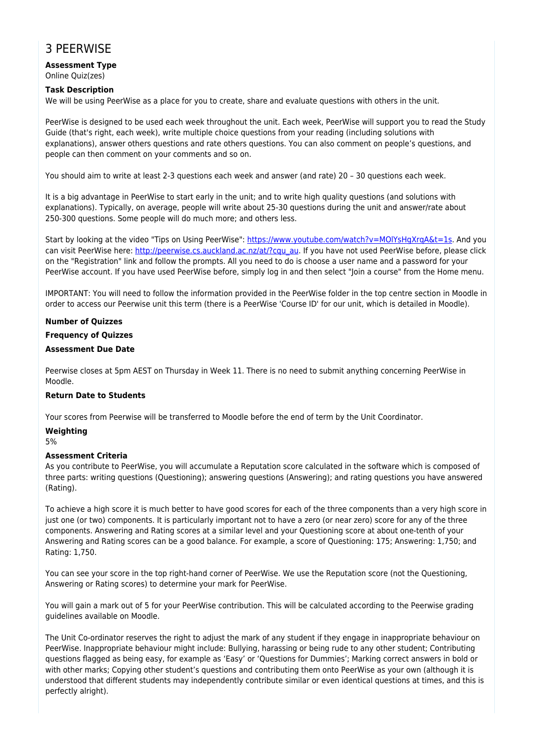## 3 PEERWISE

#### **Assessment Type** Online Quiz(zes)

#### **Task Description**

We will be using PeerWise as a place for you to create, share and evaluate questions with others in the unit.

PeerWise is designed to be used each week throughout the unit. Each week, PeerWise will support you to read the Study Guide (that's right, each week), write multiple choice questions from your reading (including solutions with explanations), answer others questions and rate others questions. You can also comment on people's questions, and people can then comment on your comments and so on.

You should aim to write at least 2-3 questions each week and answer (and rate) 20 – 30 questions each week.

It is a big advantage in PeerWise to start early in the unit; and to write high quality questions (and solutions with explanations). Typically, on average, people will write about 25-30 questions during the unit and answer/rate about 250-300 questions. Some people will do much more; and others less.

Start by looking at the video "Tips on Using PeerWise":<https://www.youtube.com/watch?v=MOlYsHgXrqA&t=1s>. And you can visit PeerWise here: [http://peerwise.cs.auckland.ac.nz/at/?cqu\\_au.](http://peerwise.cs.auckland.ac.nz/at/?cqu_au) If you have not used PeerWise before, please click on the "Registration" link and follow the prompts. All you need to do is choose a user name and a password for your PeerWise account. If you have used PeerWise before, simply log in and then select "Join a course" from the Home menu.

IMPORTANT: You will need to follow the information provided in the PeerWise folder in the top centre section in Moodle in order to access our Peerwise unit this term (there is a PeerWise 'Course ID' for our unit, which is detailed in Moodle).

#### **Number of Quizzes**

#### **Frequency of Quizzes**

#### **Assessment Due Date**

Peerwise closes at 5pm AEST on Thursday in Week 11. There is no need to submit anything concerning PeerWise in Moodle.

#### **Return Date to Students**

Your scores from Peerwise will be transferred to Moodle before the end of term by the Unit Coordinator.

#### **Weighting**

5%

#### **Assessment Criteria**

As you contribute to PeerWise, you will accumulate a Reputation score calculated in the software which is composed of three parts: writing questions (Questioning); answering questions (Answering); and rating questions you have answered (Rating).

To achieve a high score it is much better to have good scores for each of the three components than a very high score in just one (or two) components. It is particularly important not to have a zero (or near zero) score for any of the three components. Answering and Rating scores at a similar level and your Questioning score at about one-tenth of your Answering and Rating scores can be a good balance. For example, a score of Questioning: 175; Answering: 1,750; and Rating: 1,750.

You can see your score in the top right-hand corner of PeerWise. We use the Reputation score (not the Questioning, Answering or Rating scores) to determine your mark for PeerWise.

You will gain a mark out of 5 for your PeerWise contribution. This will be calculated according to the Peerwise grading guidelines available on Moodle.

The Unit Co-ordinator reserves the right to adjust the mark of any student if they engage in inappropriate behaviour on PeerWise. Inappropriate behaviour might include: Bullying, harassing or being rude to any other student; Contributing questions flagged as being easy, for example as 'Easy' or 'Questions for Dummies'; Marking correct answers in bold or with other marks; Copying other student's questions and contributing them onto PeerWise as your own (although it is understood that different students may independently contribute similar or even identical questions at times, and this is perfectly alright).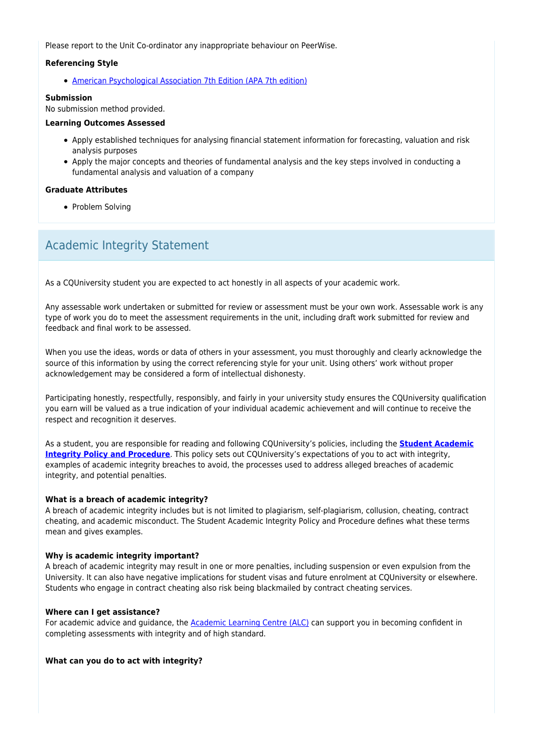Please report to the Unit Co-ordinator any inappropriate behaviour on PeerWise.

#### **Referencing Style**

[American Psychological Association 7th Edition \(APA 7th edition\)](https://delivery-cqucontenthub.stylelabs.cloud/api/public/content/apa-referencing-style.pdf?v=51e1aea7)

#### **Submission**

No submission method provided.

#### **Learning Outcomes Assessed**

- Apply established techniques for analysing financial statement information for forecasting, valuation and risk analysis purposes
- Apply the major concepts and theories of fundamental analysis and the key steps involved in conducting a fundamental analysis and valuation of a company

#### **Graduate Attributes**

• Problem Solving

## Academic Integrity Statement

As a CQUniversity student you are expected to act honestly in all aspects of your academic work.

Any assessable work undertaken or submitted for review or assessment must be your own work. Assessable work is any type of work you do to meet the assessment requirements in the unit, including draft work submitted for review and feedback and final work to be assessed.

When you use the ideas, words or data of others in your assessment, you must thoroughly and clearly acknowledge the source of this information by using the correct referencing style for your unit. Using others' work without proper acknowledgement may be considered a form of intellectual dishonesty.

Participating honestly, respectfully, responsibly, and fairly in your university study ensures the CQUniversity qualification you earn will be valued as a true indication of your individual academic achievement and will continue to receive the respect and recognition it deserves.

As a student, you are responsible for reading and following CQUniversity's policies, including the **[Student Academic](https://www.cqu.edu.au/policy/sharepoint-document-download?file_uri={BE8380F3-F86D-4C55-AC0D-84A81EAFD6A2}/Student%20Academic%20Integrity%20Policy%20and%20Procedure%20(formerly%20known%20as%20the%20Academic%20Misconduct%20Procedure).pdf) [Integrity Policy and Procedure](https://www.cqu.edu.au/policy/sharepoint-document-download?file_uri={BE8380F3-F86D-4C55-AC0D-84A81EAFD6A2}/Student%20Academic%20Integrity%20Policy%20and%20Procedure%20(formerly%20known%20as%20the%20Academic%20Misconduct%20Procedure).pdf)**. This policy sets out CQUniversity's expectations of you to act with integrity, examples of academic integrity breaches to avoid, the processes used to address alleged breaches of academic integrity, and potential penalties.

#### **What is a breach of academic integrity?**

A breach of academic integrity includes but is not limited to plagiarism, self-plagiarism, collusion, cheating, contract cheating, and academic misconduct. The Student Academic Integrity Policy and Procedure defines what these terms mean and gives examples.

#### **Why is academic integrity important?**

A breach of academic integrity may result in one or more penalties, including suspension or even expulsion from the University. It can also have negative implications for student visas and future enrolment at CQUniversity or elsewhere. Students who engage in contract cheating also risk being blackmailed by contract cheating services.

#### **Where can I get assistance?**

For academic advice and guidance, the [Academic Learning Centre \(ALC\)](https://www.cqu.edu.au/student-life/academic-learning-centre) can support you in becoming confident in completing assessments with integrity and of high standard.

#### **What can you do to act with integrity?**